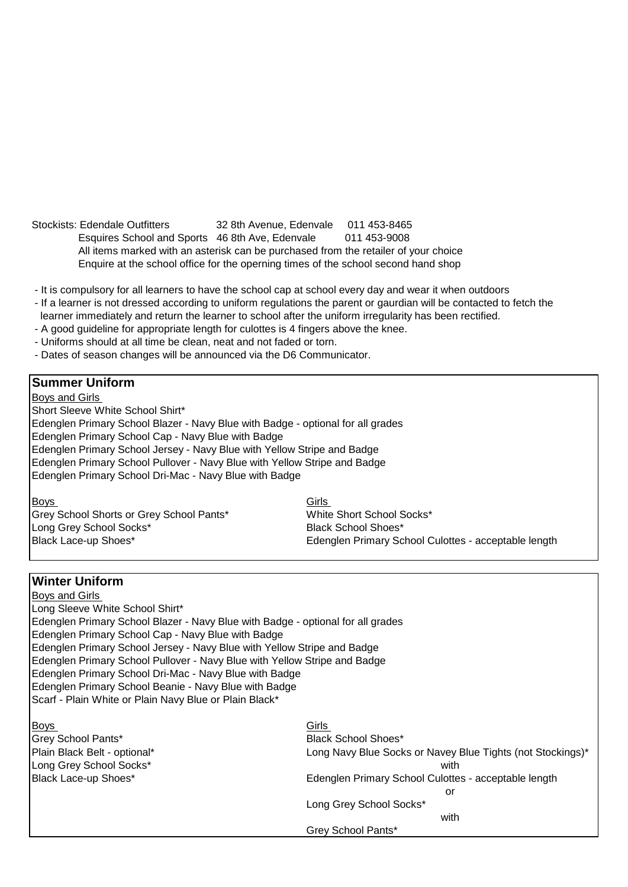Stockists: Edendale Outfitters 32 8th Avenue, Edenvale 011 453-8465 Esquires School and Sports 46 8th Ave, Edenvale 011 453-9008 All items marked with an asterisk can be purchased from the retailer of your choice Enquire at the school office for the operning times of the school second hand shop

- It is compulsory for all learners to have the school cap at school every day and wear it when outdoors
- If a learner is not dressed according to uniform regulations the parent or gaurdian will be contacted to fetch the learner immediately and return the learner to school after the uniform irregularity has been rectified.
- A good guideline for appropriate length for culottes is 4 fingers above the knee.
- Uniforms should at all time be clean, neat and not faded or torn.
- Dates of season changes will be announced via the D6 Communicator.

### **Summer Uniform**

Boys and Girls Short Sleeve White School Shirt\* Edenglen Primary School Blazer - Navy Blue with Badge - optional for all grades Edenglen Primary School Cap - Navy Blue with Badge Edenglen Primary School Jersey - Navy Blue with Yellow Stripe and Badge Edenglen Primary School Pullover - Navy Blue with Yellow Stripe and Badge Edenglen Primary School Dri-Mac - Navy Blue with Badge

Boys **Girls** Grey School Shorts or Grey School Pants\* White Short School Socks\* Long Grey School Socks\* Black School Shoes\* Black Lace-up Shoes\* Edenglen Primary School Culottes - acceptable length

### **Winter Uniform**

Boys and Girls Long Sleeve White School Shirt\* Edenglen Primary School Blazer - Navy Blue with Badge - optional for all grades Edenglen Primary School Cap - Navy Blue with Badge Edenglen Primary School Jersey - Navy Blue with Yellow Stripe and Badge Edenglen Primary School Pullover - Navy Blue with Yellow Stripe and Badge Edenglen Primary School Dri-Mac - Navy Blue with Badge Edenglen Primary School Beanie - Navy Blue with Badge Scarf - Plain White or Plain Navy Blue or Plain Black\* Boys **Girls** Grey School Pants\* Black School Shoes\* Plain Black Belt - optional\* The Cong Navy Blue Socks or Navey Blue Tights (not Stockings)\* Long Grey School Socks\* with Black Lace-up Shoes\* The Shoest Culot Edenglen Primary School Culottes - acceptable length or Long Grey School Socks\*

Grey School Pants\*

with